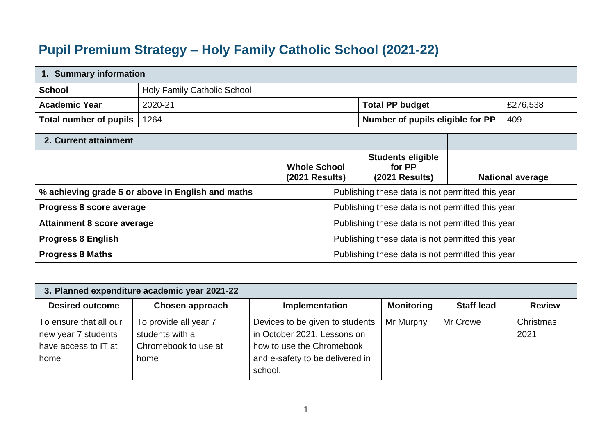## **Pupil Premium Strategy – Holy Family Catholic School (2021-22)**

| 1. Summary information        |                                    |                                  |          |  |
|-------------------------------|------------------------------------|----------------------------------|----------|--|
| School                        | <b>Holy Family Catholic School</b> |                                  |          |  |
| <b>Academic Year</b>          | 2020-21                            | <b>Total PP budget</b>           | £276,538 |  |
| Total number of pupils   1264 |                                    | Number of pupils eligible for PP | 409      |  |

| 2. Current attainment                             |                                                  |                                                             |                         |
|---------------------------------------------------|--------------------------------------------------|-------------------------------------------------------------|-------------------------|
|                                                   | <b>Whole School</b><br>(2021 Results)            | <b>Students eligible</b><br>for PP<br><b>(2021 Results)</b> | <b>National average</b> |
| % achieving grade 5 or above in English and maths | Publishing these data is not permitted this year |                                                             |                         |
| Progress 8 score average                          | Publishing these data is not permitted this year |                                                             |                         |
| <b>Attainment 8 score average</b>                 | Publishing these data is not permitted this year |                                                             |                         |
| <b>Progress 8 English</b>                         | Publishing these data is not permitted this year |                                                             |                         |
| <b>Progress 8 Maths</b>                           | Publishing these data is not permitted this year |                                                             |                         |

| 3. Planned expenditure academic year 2021-22                                  |                                                                          |                                                                                                                                           |                   |                   |                   |
|-------------------------------------------------------------------------------|--------------------------------------------------------------------------|-------------------------------------------------------------------------------------------------------------------------------------------|-------------------|-------------------|-------------------|
| <b>Desired outcome</b>                                                        | Chosen approach                                                          | Implementation                                                                                                                            | <b>Monitoring</b> | <b>Staff lead</b> | <b>Review</b>     |
| To ensure that all our<br>new year 7 students<br>have access to IT at<br>home | To provide all year 7<br>students with a<br>Chromebook to use at<br>home | Devices to be given to students<br>in October 2021, Lessons on<br>how to use the Chromebook<br>and e-safety to be delivered in<br>school. | Mr Murphy         | Mr Crowe          | Christmas<br>2021 |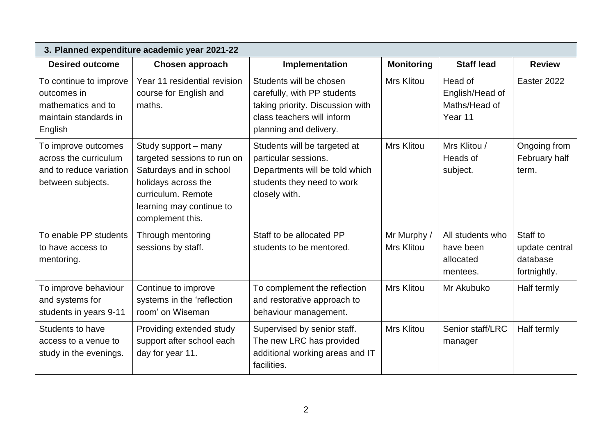| 3. Planned expenditure academic year 2021-22                                                    |                                                                                                                                                                             |                                                                                                                                                    |                                  |                                                        |                                                        |
|-------------------------------------------------------------------------------------------------|-----------------------------------------------------------------------------------------------------------------------------------------------------------------------------|----------------------------------------------------------------------------------------------------------------------------------------------------|----------------------------------|--------------------------------------------------------|--------------------------------------------------------|
| <b>Desired outcome</b>                                                                          | Chosen approach                                                                                                                                                             | Implementation                                                                                                                                     | <b>Monitoring</b>                | <b>Staff lead</b>                                      | <b>Review</b>                                          |
| To continue to improve<br>outcomes in<br>mathematics and to<br>maintain standards in<br>English | Year 11 residential revision<br>course for English and<br>maths.                                                                                                            | Students will be chosen<br>carefully, with PP students<br>taking priority. Discussion with<br>class teachers will inform<br>planning and delivery. | <b>Mrs Klitou</b>                | Head of<br>English/Head of<br>Maths/Head of<br>Year 11 | Easter 2022                                            |
| To improve outcomes<br>across the curriculum<br>and to reduce variation<br>between subjects.    | Study support - many<br>targeted sessions to run on<br>Saturdays and in school<br>holidays across the<br>curriculum. Remote<br>learning may continue to<br>complement this. | Students will be targeted at<br>particular sessions.<br>Departments will be told which<br>students they need to work<br>closely with.              | <b>Mrs Klitou</b>                | Mrs Klitou /<br>Heads of<br>subject.                   | Ongoing from<br>February half<br>term.                 |
| To enable PP students<br>to have access to<br>mentoring.                                        | Through mentoring<br>sessions by staff.                                                                                                                                     | Staff to be allocated PP<br>students to be mentored.                                                                                               | Mr Murphy /<br><b>Mrs Klitou</b> | All students who<br>have been<br>allocated<br>mentees. | Staff to<br>update central<br>database<br>fortnightly. |
| To improve behaviour<br>and systems for<br>students in years 9-11                               | Continue to improve<br>systems in the 'reflection<br>room' on Wiseman                                                                                                       | To complement the reflection<br>and restorative approach to<br>behaviour management.                                                               | <b>Mrs Klitou</b>                | Mr Akubuko                                             | Half termly                                            |
| Students to have<br>access to a venue to<br>study in the evenings.                              | Providing extended study<br>support after school each<br>day for year 11.                                                                                                   | Supervised by senior staff.<br>The new LRC has provided<br>additional working areas and IT<br>facilities.                                          | <b>Mrs Klitou</b>                | Senior staff/LRC<br>manager                            | Half termly                                            |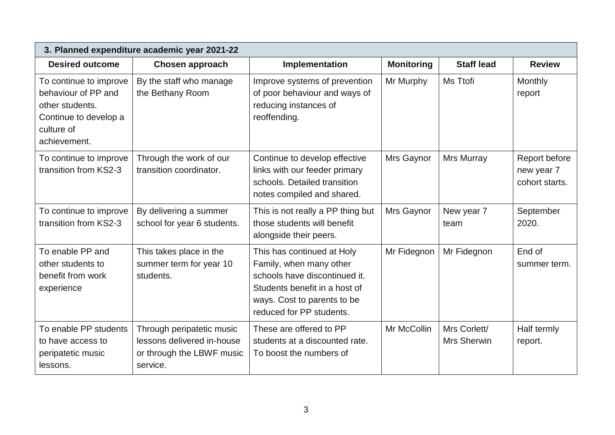| 3. Planned expenditure academic year 2021-22                                                                            |                                                                                                  |                                                                                                                                                                                    |                   |                                    |                                               |
|-------------------------------------------------------------------------------------------------------------------------|--------------------------------------------------------------------------------------------------|------------------------------------------------------------------------------------------------------------------------------------------------------------------------------------|-------------------|------------------------------------|-----------------------------------------------|
| <b>Desired outcome</b>                                                                                                  | <b>Chosen approach</b>                                                                           | Implementation                                                                                                                                                                     | <b>Monitoring</b> | <b>Staff lead</b>                  | <b>Review</b>                                 |
| To continue to improve<br>behaviour of PP and<br>other students.<br>Continue to develop a<br>culture of<br>achievement. | By the staff who manage<br>the Bethany Room                                                      | Improve systems of prevention<br>of poor behaviour and ways of<br>reducing instances of<br>reoffending.                                                                            | Mr Murphy         | Ms Ttofi                           | Monthly<br>report                             |
| To continue to improve<br>transition from KS2-3                                                                         | Through the work of our<br>transition coordinator.                                               | Continue to develop effective<br>links with our feeder primary<br>schools. Detailed transition<br>notes compiled and shared.                                                       | Mrs Gaynor        | Mrs Murray                         | Report before<br>new year 7<br>cohort starts. |
| To continue to improve<br>transition from KS2-3                                                                         | By delivering a summer<br>school for year 6 students.                                            | This is not really a PP thing but<br>those students will benefit<br>alongside their peers.                                                                                         | Mrs Gaynor        | New year 7<br>team                 | September<br>2020.                            |
| To enable PP and<br>other students to<br>benefit from work<br>experience                                                | This takes place in the<br>summer term for year 10<br>students.                                  | This has continued at Holy<br>Family, when many other<br>schools have discontinued it.<br>Students benefit in a host of<br>ways. Cost to parents to be<br>reduced for PP students. | Mr Fidegnon       | Mr Fidegnon                        | End of<br>summer term.                        |
| To enable PP students<br>to have access to<br>peripatetic music<br>lessons.                                             | Through peripatetic music<br>lessons delivered in-house<br>or through the LBWF music<br>service. | These are offered to PP<br>students at a discounted rate.<br>To boost the numbers of                                                                                               | Mr McCollin       | Mrs Corlett/<br><b>Mrs Sherwin</b> | Half termly<br>report.                        |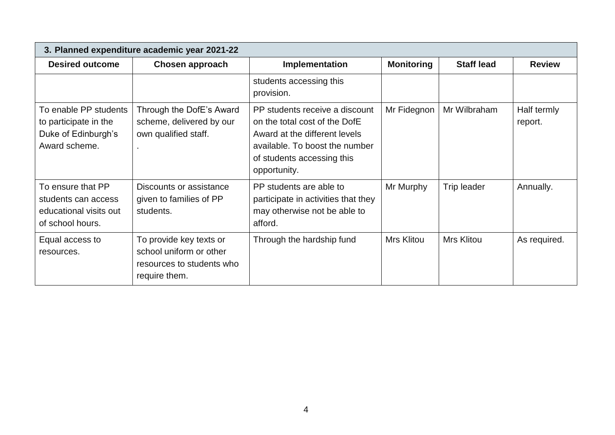| 3. Planned expenditure academic year 2021-22                                           |                                                                                                  |                                                                                                                                                                                  |                   |                   |                        |
|----------------------------------------------------------------------------------------|--------------------------------------------------------------------------------------------------|----------------------------------------------------------------------------------------------------------------------------------------------------------------------------------|-------------------|-------------------|------------------------|
| <b>Desired outcome</b>                                                                 | Chosen approach                                                                                  | Implementation                                                                                                                                                                   | <b>Monitoring</b> | <b>Staff lead</b> | <b>Review</b>          |
|                                                                                        |                                                                                                  | students accessing this<br>provision.                                                                                                                                            |                   |                   |                        |
| To enable PP students<br>to participate in the<br>Duke of Edinburgh's<br>Award scheme. | Through the DofE's Award<br>scheme, delivered by our<br>own qualified staff.                     | PP students receive a discount<br>on the total cost of the DofE<br>Award at the different levels<br>available. To boost the number<br>of students accessing this<br>opportunity. | Mr Fidegnon       | Mr Wilbraham      | Half termly<br>report. |
| To ensure that PP<br>students can access<br>educational visits out<br>of school hours. | Discounts or assistance<br>given to families of PP<br>students.                                  | PP students are able to<br>participate in activities that they<br>may otherwise not be able to<br>afford.                                                                        | Mr Murphy         | Trip leader       | Annually.              |
| Equal access to<br>resources.                                                          | To provide key texts or<br>school uniform or other<br>resources to students who<br>require them. | Through the hardship fund                                                                                                                                                        | Mrs Klitou        | <b>Mrs Klitou</b> | As required.           |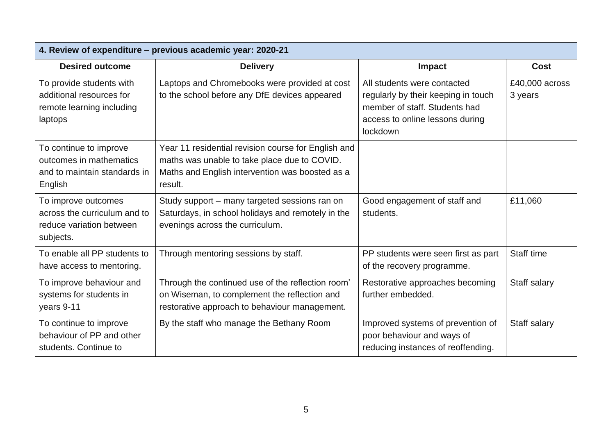| 4. Review of expenditure - previous academic year: 2020-21                                   |                                                                                                                                                                   |                                                                                                                                                    |                           |  |  |
|----------------------------------------------------------------------------------------------|-------------------------------------------------------------------------------------------------------------------------------------------------------------------|----------------------------------------------------------------------------------------------------------------------------------------------------|---------------------------|--|--|
| <b>Desired outcome</b>                                                                       | <b>Delivery</b>                                                                                                                                                   | Impact                                                                                                                                             | <b>Cost</b>               |  |  |
| To provide students with<br>additional resources for<br>remote learning including<br>laptops | Laptops and Chromebooks were provided at cost<br>to the school before any DfE devices appeared                                                                    | All students were contacted<br>regularly by their keeping in touch<br>member of staff. Students had<br>access to online lessons during<br>lockdown | £40,000 across<br>3 years |  |  |
| To continue to improve<br>outcomes in mathematics<br>and to maintain standards in<br>English | Year 11 residential revision course for English and<br>maths was unable to take place due to COVID.<br>Maths and English intervention was boosted as a<br>result. |                                                                                                                                                    |                           |  |  |
| To improve outcomes<br>across the curriculum and to<br>reduce variation between<br>subjects. | Study support - many targeted sessions ran on<br>Saturdays, in school holidays and remotely in the<br>evenings across the curriculum.                             | Good engagement of staff and<br>students.                                                                                                          | £11,060                   |  |  |
| To enable all PP students to<br>have access to mentoring.                                    | Through mentoring sessions by staff.                                                                                                                              | PP students were seen first as part<br>of the recovery programme.                                                                                  | Staff time                |  |  |
| To improve behaviour and<br>systems for students in<br>years 9-11                            | Through the continued use of the reflection room'<br>on Wiseman, to complement the reflection and<br>restorative approach to behaviour management.                | Restorative approaches becoming<br>further embedded.                                                                                               | Staff salary              |  |  |
| To continue to improve<br>behaviour of PP and other<br>students. Continue to                 | By the staff who manage the Bethany Room                                                                                                                          | Improved systems of prevention of<br>poor behaviour and ways of<br>reducing instances of reoffending.                                              | Staff salary              |  |  |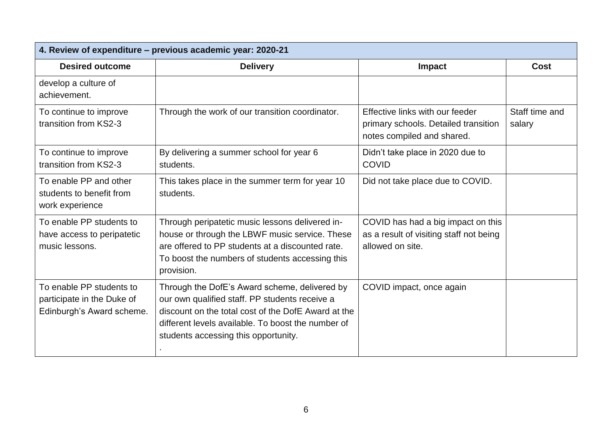| 4. Review of expenditure - previous academic year: 2020-21                          |                                                                                                                                                                                                                                                      |                                                                                                       |                          |  |
|-------------------------------------------------------------------------------------|------------------------------------------------------------------------------------------------------------------------------------------------------------------------------------------------------------------------------------------------------|-------------------------------------------------------------------------------------------------------|--------------------------|--|
| <b>Desired outcome</b>                                                              | <b>Delivery</b>                                                                                                                                                                                                                                      | Impact                                                                                                | <b>Cost</b>              |  |
| develop a culture of<br>achievement.                                                |                                                                                                                                                                                                                                                      |                                                                                                       |                          |  |
| To continue to improve<br>transition from KS2-3                                     | Through the work of our transition coordinator.                                                                                                                                                                                                      | Effective links with our feeder<br>primary schools. Detailed transition<br>notes compiled and shared. | Staff time and<br>salary |  |
| To continue to improve<br>transition from KS2-3                                     | By delivering a summer school for year 6<br>students.                                                                                                                                                                                                | Didn't take place in 2020 due to<br><b>COVID</b>                                                      |                          |  |
| To enable PP and other<br>students to benefit from<br>work experience               | This takes place in the summer term for year 10<br>students.                                                                                                                                                                                         | Did not take place due to COVID.                                                                      |                          |  |
| To enable PP students to<br>have access to peripatetic<br>music lessons.            | Through peripatetic music lessons delivered in-<br>house or through the LBWF music service. These<br>are offered to PP students at a discounted rate.<br>To boost the numbers of students accessing this<br>provision.                               | COVID has had a big impact on this<br>as a result of visiting staff not being<br>allowed on site.     |                          |  |
| To enable PP students to<br>participate in the Duke of<br>Edinburgh's Award scheme. | Through the DofE's Award scheme, delivered by<br>our own qualified staff. PP students receive a<br>discount on the total cost of the DofE Award at the<br>different levels available. To boost the number of<br>students accessing this opportunity. | COVID impact, once again                                                                              |                          |  |